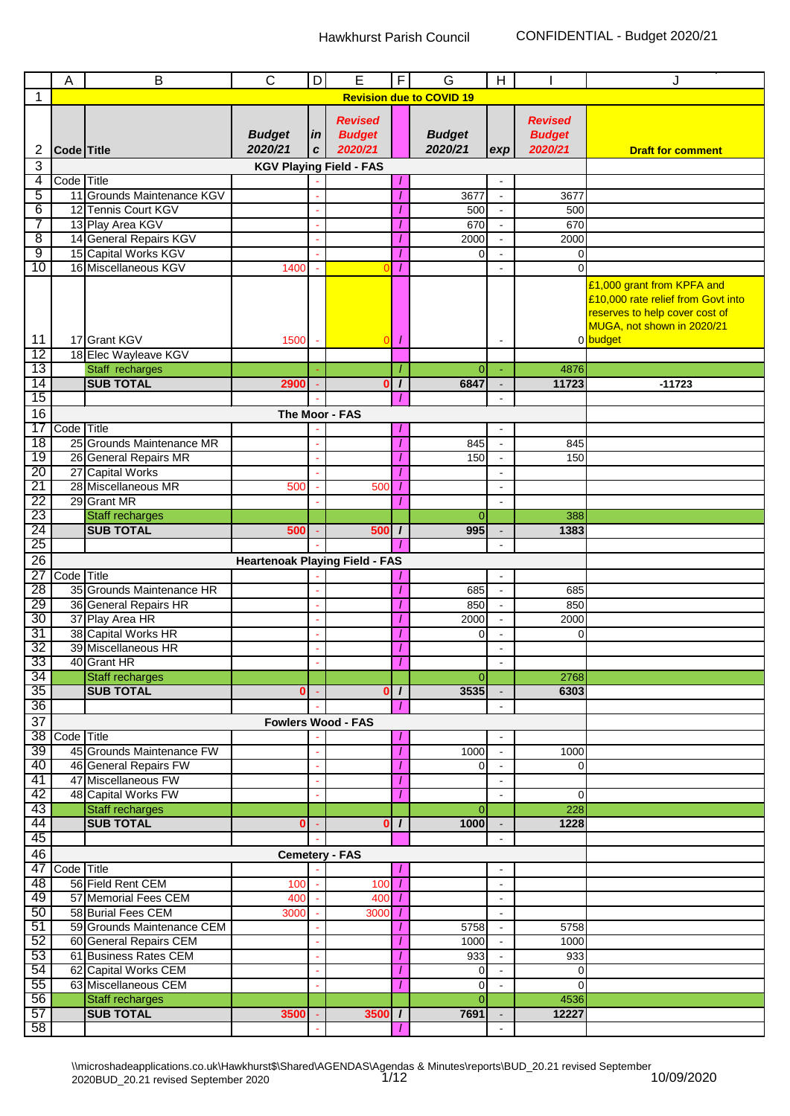| 1<br>2<br>3<br>4<br>5<br>6<br>7<br>8<br>9<br>10 | Code Title<br>Code Title | 11 Grounds Maintenance KGV                   | <b>Budget</b><br>2020/21              | $\mathbf{in}$ | <b>Revised</b>                 |              | <b>Revision due to COVID 19</b> |                                | <b>Revised</b>           |                                                                                                                |
|-------------------------------------------------|--------------------------|----------------------------------------------|---------------------------------------|---------------|--------------------------------|--------------|---------------------------------|--------------------------------|--------------------------|----------------------------------------------------------------------------------------------------------------|
|                                                 |                          |                                              |                                       |               |                                |              |                                 |                                |                          |                                                                                                                |
|                                                 |                          |                                              |                                       |               | <b>Budget</b><br>2020/21       |              | <b>Budget</b><br>2020/21        |                                | <b>Budget</b><br>2020/21 |                                                                                                                |
|                                                 |                          |                                              |                                       | C             | <b>KGV Playing Field - FAS</b> |              |                                 | exp                            |                          | <b>Draft for comment</b>                                                                                       |
|                                                 |                          |                                              |                                       |               |                                |              |                                 | $\blacksquare$                 |                          |                                                                                                                |
|                                                 |                          |                                              |                                       |               |                                |              | 3677                            | $\omega$                       | 3677                     |                                                                                                                |
|                                                 |                          | 12 Tennis Court KGV                          |                                       |               |                                |              | 500                             | $\blacksquare$                 | 500                      |                                                                                                                |
|                                                 |                          | 13 Play Area KGV                             |                                       |               |                                |              | 670                             | $\mathbf{r}$                   | 670                      |                                                                                                                |
|                                                 |                          | 14 General Repairs KGV                       |                                       |               |                                |              | 2000                            | $\blacksquare$                 | 2000                     |                                                                                                                |
|                                                 |                          | 15 Capital Works KGV<br>16 Miscellaneous KGV | 1400                                  |               |                                |              | $\Omega$                        | $\blacksquare$<br>$\mathbf{r}$ | $\mathbf 0$<br>$\Omega$  |                                                                                                                |
|                                                 |                          |                                              |                                       |               | 0                              | -1           |                                 |                                |                          | £1,000 grant from KPFA and                                                                                     |
| 11                                              |                          | 17 Grant KGV                                 | 1500                                  |               | $\Omega$                       |              |                                 |                                |                          | £10,000 rate relief from Govt into<br>reserves to help cover cost of<br>MUGA, not shown in 2020/21<br>0 budget |
| 12                                              |                          | 18 Elec Wayleave KGV                         |                                       |               |                                |              |                                 |                                |                          |                                                                                                                |
| 13                                              |                          | Staff recharges                              |                                       |               |                                |              | $\overline{0}$                  | $\blacksquare$                 | 4876                     |                                                                                                                |
| 14                                              |                          | <b>SUB TOTAL</b>                             | 2900                                  |               | 0                              | $\mathbf{I}$ | 6847                            |                                | 11723                    | $-11723$                                                                                                       |
| 15                                              |                          |                                              |                                       |               |                                |              |                                 | $\sim$                         |                          |                                                                                                                |
| 16<br>17                                        | Code Title               |                                              |                                       |               | The Moor - FAS                 |              |                                 |                                |                          |                                                                                                                |
| 18                                              |                          | 25 Grounds Maintenance MR                    |                                       |               |                                |              | 845                             | $\blacksquare$<br>$\omega$     | 845                      |                                                                                                                |
| 19                                              |                          | 26 General Repairs MR                        |                                       |               |                                |              | 150                             | $\mathbf{r}$                   | 150                      |                                                                                                                |
| 20                                              |                          | 27 Capital Works                             |                                       |               |                                |              |                                 | $\blacksquare$                 |                          |                                                                                                                |
| $\overline{21}$                                 |                          | 28 Miscellaneous MR                          | 500                                   |               | 500                            | 7            |                                 | $\blacksquare$                 |                          |                                                                                                                |
| 22                                              |                          | 29 Grant MR                                  |                                       |               |                                |              |                                 | $\blacksquare$                 |                          |                                                                                                                |
| $\overline{23}$                                 |                          | <b>Staff recharges</b>                       |                                       |               |                                |              | $\overline{0}$                  |                                | 388                      |                                                                                                                |
| 24                                              |                          | <b>SUB TOTAL</b>                             | 500                                   |               | 500                            | $\mathbf{I}$ | 995                             | $\Box$                         | 1383                     |                                                                                                                |
| 25                                              |                          |                                              |                                       |               |                                |              |                                 | $\mathbf{r}$                   |                          |                                                                                                                |
| 26                                              |                          |                                              | <b>Heartenoak Playing Field - FAS</b> |               |                                |              |                                 |                                |                          |                                                                                                                |
| 27<br>28                                        | Code Title               | 35 Grounds Maintenance HR                    |                                       |               |                                |              | 685                             | $\blacksquare$<br>$\Box$       | 685                      |                                                                                                                |
| 29                                              |                          | 36 General Repairs HR                        |                                       |               |                                | T            | 850                             | $\blacksquare$                 | 850                      |                                                                                                                |
| 30                                              |                          | 37 Play Area HR                              |                                       |               |                                | 7            | 2000                            | $\blacksquare$                 | 2000                     |                                                                                                                |
| 31                                              |                          | 38 Capital Works HR                          |                                       |               |                                |              | $\Omega$                        | $\blacksquare$                 | 0                        |                                                                                                                |
| 32                                              |                          | 39 Miscellaneous HR                          |                                       |               |                                |              |                                 | $\mathbf{r}$                   |                          |                                                                                                                |
| 33                                              |                          | 40 Grant HR                                  |                                       |               |                                | 1            |                                 | $\blacksquare$                 |                          |                                                                                                                |
| 34                                              |                          | Staff recharges                              |                                       |               |                                |              | $\overline{0}$                  |                                | 2768                     |                                                                                                                |
| 35<br>36                                        |                          | <b>SUB TOTAL</b>                             | n                                     |               | $\bf{0}$                       | $\mathbf{I}$ | 3535                            | $\mathbf{r}$                   | 6303                     |                                                                                                                |
| $\overline{37}$                                 |                          |                                              |                                       |               | <b>Fowlers Wood - FAS</b>      |              |                                 |                                |                          |                                                                                                                |
| 38 Code Title                                   |                          |                                              |                                       |               |                                |              |                                 |                                |                          |                                                                                                                |
| 39                                              |                          | 45 Grounds Maintenance FW                    |                                       |               |                                |              | 1000                            | $\omega$                       | 1000                     |                                                                                                                |
| 40                                              |                          | 46 General Repairs FW                        |                                       |               |                                | T            | $\Omega$                        | $\blacksquare$                 | $\overline{0}$           |                                                                                                                |
| 41                                              |                          | 47 Miscellaneous FW                          |                                       |               |                                | T            |                                 | $\mathbf{r}$                   |                          |                                                                                                                |
| 42                                              |                          | 48 Capital Works FW                          |                                       |               |                                |              |                                 | $\blacksquare$                 | $\overline{0}$           |                                                                                                                |
| 43                                              |                          | <b>Staff recharges</b>                       |                                       |               |                                |              | $\overline{0}$                  |                                | 228                      |                                                                                                                |
| 44<br>45                                        |                          | <b>SUB TOTAL</b>                             | 0                                     |               | 0                              | $\prime$     | 1000                            | $\omega$                       | 1228                     |                                                                                                                |
| 46                                              |                          |                                              |                                       |               |                                |              |                                 | $\blacksquare$                 |                          |                                                                                                                |
| 47                                              | Code Title               |                                              |                                       |               | <b>Cemetery - FAS</b>          | T            |                                 | $\blacksquare$                 |                          |                                                                                                                |
| 48                                              |                          | 56 Field Rent CEM                            | 100                                   |               | 100                            | $\perp$      |                                 | $\mathbf{L}$                   |                          |                                                                                                                |
| 49                                              |                          | 57 Memorial Fees CEM                         | 400                                   |               | 400                            | -1           |                                 | $\blacksquare$                 |                          |                                                                                                                |
| 50                                              |                          | 58 Burial Fees CEM                           | 3000                                  |               | 3000                           | -1           |                                 | $\blacksquare$                 |                          |                                                                                                                |
| 51                                              |                          | 59 Grounds Maintenance CEM                   |                                       |               |                                |              | 5758                            | $\omega$                       | 5758                     |                                                                                                                |
| 52                                              |                          | 60 General Repairs CEM                       |                                       |               |                                | T            | 1000                            | $\blacksquare$                 | 1000                     |                                                                                                                |
| 53                                              |                          | 61 Business Rates CEM                        |                                       |               |                                |              | 933                             | $\omega$                       | 933                      |                                                                                                                |
| 54<br>$\overline{55}$                           |                          | 62 Capital Works CEM                         |                                       |               |                                | 1            | $\overline{0}$                  | $\blacksquare$                 | $\overline{0}$           |                                                                                                                |
| 56                                              |                          | 63 Miscellaneous CEM<br>Staff recharges      |                                       |               |                                |              | 0<br>$\overline{0}$             |                                | $\Omega$<br>4536         |                                                                                                                |
| 57                                              |                          | <b>SUB TOTAL</b>                             | 3500                                  |               | 3500                           | $\mathbf{I}$ | 7691                            | $\blacksquare$                 | 12227                    |                                                                                                                |
| 58                                              |                          |                                              |                                       |               |                                | T            |                                 | $\blacksquare$                 |                          |                                                                                                                |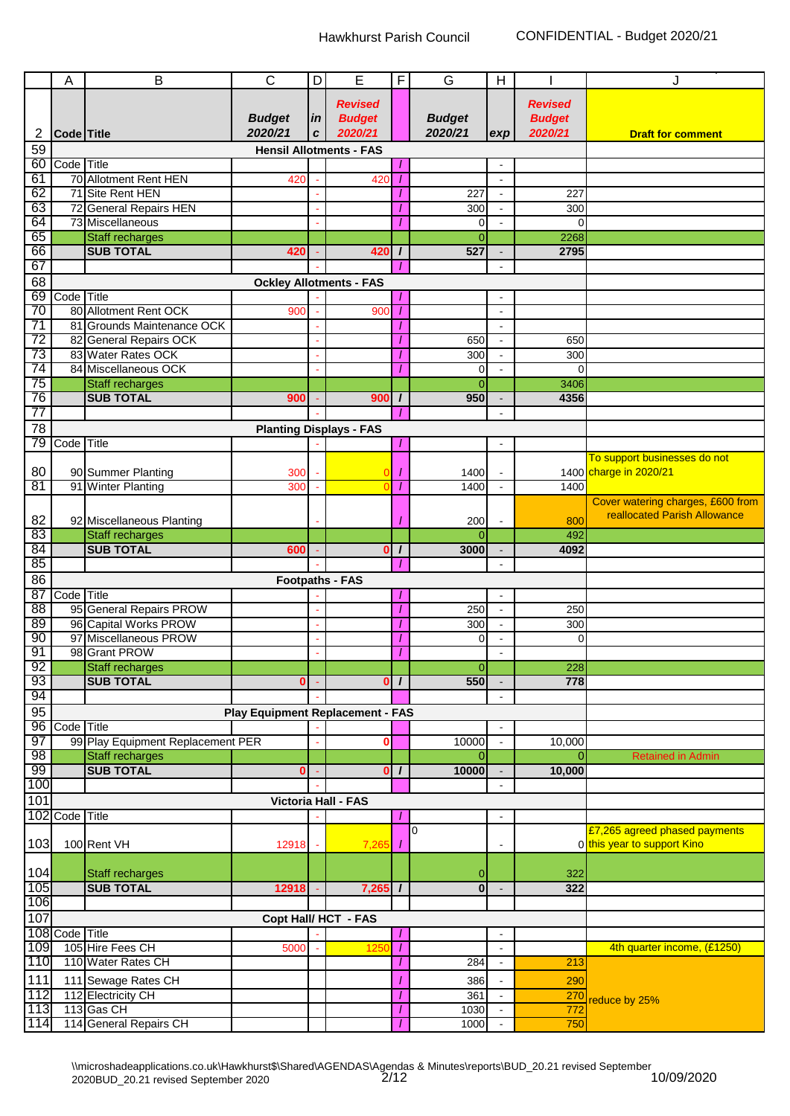|                 | A                                            | В                                              | $\mathsf{C}$                            | D             | Е                               | F        | G                       | Н                                          |                                 | J                                                            |
|-----------------|----------------------------------------------|------------------------------------------------|-----------------------------------------|---------------|---------------------------------|----------|-------------------------|--------------------------------------------|---------------------------------|--------------------------------------------------------------|
|                 |                                              |                                                | <b>Budget</b>                           | $\mathbf{in}$ | <b>Revised</b><br><b>Budget</b> |          | <b>Budget</b>           |                                            | <b>Revised</b><br><b>Budget</b> |                                                              |
| 2               | Code Title                                   |                                                | 2020/21                                 | C             | 2020/21                         |          | 2020/21                 | exp                                        | 2020/21                         | <b>Draft for comment</b>                                     |
| 59              | <b>Hensil Allotments - FAS</b><br>Code Title |                                                |                                         |               |                                 |          |                         |                                            |                                 |                                                              |
| 60<br>61        |                                              | 70 Allotment Rent HEN                          | 420                                     |               | 420                             |          |                         | $\mathbf{r}$<br>$\blacksquare$             |                                 |                                                              |
| 62              |                                              | 71 Site Rent HEN                               |                                         |               |                                 |          | 227                     | $\blacksquare$                             | 227                             |                                                              |
| 63              |                                              | 72 General Repairs HEN                         |                                         |               |                                 |          | 300                     | L.                                         | 300                             |                                                              |
| 64              |                                              | 73 Miscellaneous                               |                                         |               |                                 |          | 0                       | $\mathbf{r}$                               | $\mathbf 0$                     |                                                              |
| 65              |                                              | Staff recharges                                |                                         |               |                                 |          | 0                       |                                            | 2268                            |                                                              |
| 66<br>67        |                                              | <b>SUB TOTAL</b>                               | 420                                     |               | 420                             |          | 527                     | $\overline{\phantom{a}}$<br>$\blacksquare$ | 2795                            |                                                              |
| 68              |                                              |                                                |                                         |               | <b>Ockley Allotments - FAS</b>  |          |                         |                                            |                                 |                                                              |
| 69              | Code Title                                   |                                                |                                         |               |                                 |          |                         | $\overline{\phantom{a}}$                   |                                 |                                                              |
| 70              |                                              | 80 Allotment Rent OCK                          | 900                                     |               | 900                             |          |                         | $\blacksquare$                             |                                 |                                                              |
| 71              |                                              | 81 Grounds Maintenance OCK                     |                                         |               |                                 |          |                         | $\mathbf{r}$                               |                                 |                                                              |
| $\overline{72}$ |                                              | 82 General Repairs OCK                         |                                         |               |                                 |          | 650                     | $\blacksquare$                             | 650                             |                                                              |
| 73              |                                              | 83 Water Rates OCK<br>84 Miscellaneous OCK     |                                         |               |                                 |          | 300                     | $\blacksquare$                             | 300                             |                                                              |
| 74<br>75        |                                              | Staff recharges                                |                                         |               |                                 |          | 0<br>$\overline{0}$     | $\blacksquare$                             | 0<br>3406                       |                                                              |
| 76              |                                              | <b>SUB TOTAL</b>                               | 900                                     |               | 900                             | $\prime$ | 950                     |                                            | 4356                            |                                                              |
| 77              |                                              |                                                |                                         |               |                                 |          |                         |                                            |                                 |                                                              |
| 78              |                                              |                                                |                                         |               | <b>Planting Displays - FAS</b>  |          |                         |                                            |                                 |                                                              |
| 79              | Code Title                                   |                                                |                                         |               |                                 |          |                         | $\blacksquare$                             |                                 |                                                              |
|                 |                                              |                                                |                                         |               |                                 |          |                         |                                            |                                 | To support businesses do not                                 |
| 80<br>81        |                                              | 90 Summer Planting                             | 300                                     |               | $\Omega$                        |          | 1400                    | $\overline{\phantom{0}}$                   |                                 | 1400 charge in 2020/21                                       |
|                 |                                              | 91 Winter Planting                             | 300                                     |               |                                 | 7        | 1400                    |                                            | 1400                            | Cover watering charges, £600 from                            |
| 82              |                                              |                                                |                                         |               |                                 |          |                         |                                            |                                 | reallocated Parish Allowance                                 |
| 83              |                                              | 92 Miscellaneous Planting<br>Staff recharges   |                                         |               |                                 |          | 200<br>$\Omega$         |                                            | 800<br>492                      |                                                              |
| 84              |                                              | <b>SUB TOTAL</b>                               | 600                                     |               | $\bf{0}$                        | $\prime$ | 3000                    | $\blacksquare$                             | 4092                            |                                                              |
| 85              |                                              |                                                |                                         |               |                                 |          |                         |                                            |                                 |                                                              |
| 86              |                                              |                                                |                                         |               | <b>Footpaths - FAS</b>          |          |                         |                                            |                                 |                                                              |
| 87              | Code Title                                   |                                                |                                         |               |                                 |          |                         | $\overline{\phantom{a}}$                   |                                 |                                                              |
| 88              |                                              | 95 General Repairs PROW                        |                                         |               |                                 |          | 250                     | $\omega$                                   | 250                             |                                                              |
| 89<br>90        |                                              | 96 Capital Works PROW<br>97 Miscellaneous PROW |                                         |               |                                 |          | 300                     | $\blacksquare$                             | 300                             |                                                              |
| 91              |                                              | 98 Grant PROW                                  |                                         |               |                                 |          | 0                       | $\blacksquare$<br>$\mathbf{r}$             | 0                               |                                                              |
| 92              |                                              | Staff recharges                                |                                         |               |                                 |          | $\overline{0}$          |                                            | 228                             |                                                              |
| 93              |                                              | <b>SUB TOTAL</b>                               | $\bf{0}$                                |               | $\bf{0}$                        | $\prime$ | 550                     |                                            | 778                             |                                                              |
| 94              |                                              |                                                |                                         |               |                                 |          |                         | $\mathbf{r}$                               |                                 |                                                              |
| 95              |                                              |                                                | <b>Play Equipment Replacement - FAS</b> |               |                                 |          |                         |                                            |                                 |                                                              |
| 96<br>97        | Code Title                                   | 99 Play Equipment Replacement PER              |                                         |               |                                 |          | 10000                   | $\overline{\phantom{a}}$                   |                                 |                                                              |
| 98              |                                              | <b>Staff recharges</b>                         |                                         |               | 0                               |          | $\mathbf{0}$            | $\blacksquare$                             | 10,000<br>$\vert$ 0             | <b>Retained in Admin</b>                                     |
| 99              |                                              | <b>SUB TOTAL</b>                               | ŋ                                       |               | $\bf{0}$                        | $\prime$ | 10000                   |                                            | 10,000                          |                                                              |
| 100             |                                              |                                                |                                         |               |                                 |          |                         | $\blacksquare$                             |                                 |                                                              |
| 101             |                                              |                                                |                                         |               | Victoria Hall - FAS             |          |                         |                                            |                                 |                                                              |
|                 | 102 Code Title                               |                                                |                                         |               |                                 |          |                         | $\blacksquare$                             |                                 |                                                              |
| 103             |                                              | 100 Rent VH                                    | 12918                                   |               | 7,265                           |          | 0                       | $\blacksquare$                             |                                 | £7,265 agreed phased payments<br>0 this year to support Kino |
| 104             |                                              | Staff recharges                                |                                         |               |                                 |          | 0                       |                                            | 322                             |                                                              |
| 105             |                                              | <b>SUB TOTAL</b>                               | 12918                                   |               | 7,265                           | $\prime$ | $\overline{\mathbf{0}}$ |                                            | 322                             |                                                              |
| 106             |                                              |                                                |                                         |               |                                 |          |                         |                                            |                                 |                                                              |
| 107             |                                              |                                                |                                         |               | Copt Hall/ HCT - FAS            |          |                         |                                            |                                 |                                                              |
|                 | 108 Code Title                               |                                                |                                         |               |                                 |          |                         | $\blacksquare$                             |                                 |                                                              |
| 109             |                                              | 105 Hire Fees CH                               | 5000                                    |               | 1250                            | T        |                         | $\blacksquare$                             |                                 | 4th quarter income, (£1250)                                  |
| 110             |                                              | 110 Water Rates CH                             |                                         |               |                                 |          | 284                     | ä,                                         | 213                             |                                                              |
| 111             |                                              | 111 Sewage Rates CH                            |                                         |               |                                 |          | 386                     | $\overline{\phantom{0}}$                   | 290                             |                                                              |
| 112<br>113      |                                              | 112 Electricity CH<br>113 Gas CH               |                                         |               |                                 |          | 361                     | $\omega$                                   | <b>270</b>                      | reduce by 25%                                                |
| 114             |                                              | 114 General Repairs CH                         |                                         |               |                                 |          | 1030<br>1000            |                                            | 772<br>750                      |                                                              |
|                 |                                              |                                                |                                         |               |                                 |          |                         |                                            |                                 |                                                              |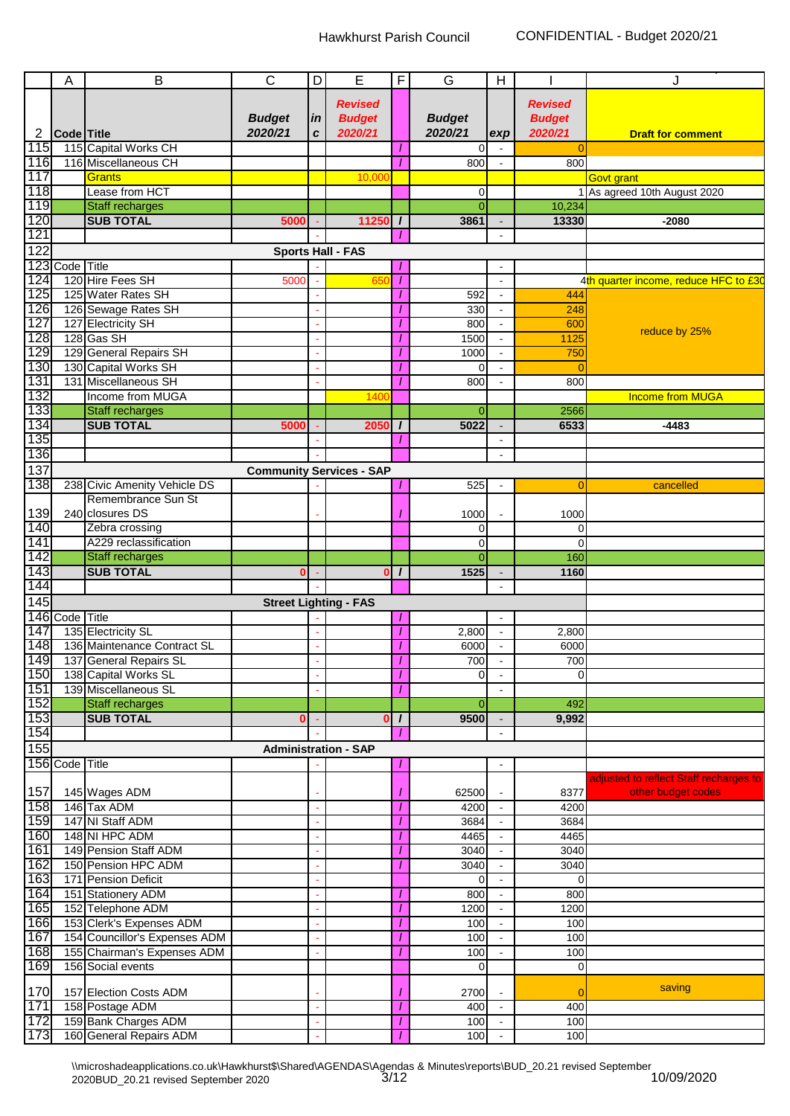|            | A                 | B                                                         | $\mathsf{C}$  | D  | Е                               | F            | G                          | H              |                 | J                                      |
|------------|-------------------|-----------------------------------------------------------|---------------|----|---------------------------------|--------------|----------------------------|----------------|-----------------|----------------------------------------|
|            |                   |                                                           |               |    | Revised                         |              |                            |                | <b>Revised</b>  |                                        |
|            |                   |                                                           | <b>Budget</b> | in | <b>Budget</b>                   |              | <b>Budget</b>              |                | <b>Budget</b>   |                                        |
| 2          | <b>Code Title</b> |                                                           | 2020/21       | C  | 2020/21                         |              | 2020/21                    | exp            | 2020/21         | <b>Draft for comment</b>               |
| 115        |                   | 115 Capital Works CH                                      |               |    |                                 |              | $\Omega$                   | $\mathbf{r}$   | $\Omega$        |                                        |
| 116        |                   | 116 Miscellaneous CH                                      |               |    |                                 |              | 800                        |                | 800             |                                        |
| 117        |                   | <b>Grants</b>                                             |               |    | 10,000                          |              |                            |                |                 | Govt grant                             |
| 118<br>119 |                   | Lease from HCT<br><b>Staff recharges</b>                  |               |    |                                 |              | $\overline{0}$<br>$\Omega$ |                |                 | As agreed 10th August 2020             |
| 120        |                   | <b>SUB TOTAL</b>                                          | 5000          |    | 11250                           | $\prime$     | 3861                       |                | 10,234<br>13330 | -2080                                  |
| 121        |                   |                                                           |               |    |                                 |              |                            | $\blacksquare$ |                 |                                        |
| 122        |                   |                                                           |               |    | <b>Sports Hall - FAS</b>        |              |                            |                |                 |                                        |
|            | 123 Code          | Title                                                     |               |    |                                 |              |                            |                |                 |                                        |
| 124        |                   | 120 Hire Fees SH                                          | 5000          |    | 65                              |              |                            |                |                 | 4th quarter income, reduce HFC to £30  |
| 125        |                   | 125 Water Rates SH                                        |               |    |                                 |              | 592                        | $\blacksquare$ | 444             |                                        |
| 126        |                   | 126 Sewage Rates SH                                       |               |    |                                 |              | 330                        |                | 248             |                                        |
| 127        |                   | 127 Electricity SH                                        |               |    |                                 |              | 800                        |                | 600             | reduce by 25%                          |
| 128        |                   | 128 Gas SH                                                |               |    |                                 |              | 1500                       | ÷,             | 1125            |                                        |
| 129        |                   | 129 General Repairs SH                                    |               |    |                                 |              | 1000                       | $\blacksquare$ | 750             |                                        |
| 130<br>131 |                   | 130 Capital Works SH<br>131 Miscellaneous SH              |               |    |                                 |              | 0<br>800                   |                | $\Omega$<br>800 |                                        |
| 132        |                   | Income from MUGA                                          |               |    | 1400                            |              |                            |                |                 | <b>Income from MUGA</b>                |
| 133        |                   | Staff recharges                                           |               |    |                                 |              | $\Omega$                   |                | 2566            |                                        |
| 134        |                   | <b>SUB TOTAL</b>                                          | 5000          |    | 2050                            |              | 5022                       |                | 6533            | $-4483$                                |
| 135        |                   |                                                           |               |    |                                 | 1            |                            | $\blacksquare$ |                 |                                        |
| 136        |                   |                                                           |               |    |                                 |              |                            |                |                 |                                        |
| 137        |                   |                                                           |               |    | <b>Community Services - SAP</b> |              |                            |                |                 |                                        |
| 138        |                   | 238 Civic Amenity Vehicle DS                              |               |    |                                 |              | 525                        | $\blacksquare$ | $\Omega$        | cancelled                              |
|            |                   | Remembrance Sun St                                        |               |    |                                 |              |                            |                |                 |                                        |
| 139        |                   | 240 closures DS                                           |               |    |                                 |              | 1000                       |                | 1000            |                                        |
| 140        |                   | Zebra crossing                                            |               |    |                                 |              | 0                          |                | $\Omega$        |                                        |
| 141        |                   | A229 reclassification                                     |               |    |                                 |              | $\overline{0}$             |                | $\overline{0}$  |                                        |
| 142        |                   | Staff recharges                                           |               |    |                                 |              | $\Omega$                   |                | 160             |                                        |
| 143<br>144 |                   | <b>SUB TOTAL</b>                                          |               |    | $\mathbf{0}$                    | $\prime$     | 1525                       |                | 1160            |                                        |
| 145        |                   |                                                           |               |    | <b>Street Lighting - FAS</b>    |              |                            |                |                 |                                        |
|            | 146 Code Title    |                                                           |               |    |                                 |              |                            |                |                 |                                        |
| 147        |                   | 135 Electricity SL                                        |               |    |                                 |              | 2,800                      |                | 2,800           |                                        |
| 148        |                   | 136 Maintenance Contract SL                               |               |    |                                 |              | 6000                       |                | 6000            |                                        |
| 149        |                   | 137 General Repairs SL                                    |               |    |                                 |              | 700                        |                | 700             |                                        |
| 150        |                   | 138 Capital Works SL                                      |               |    |                                 |              | $\Omega$                   |                | $\Omega$        |                                        |
| 151        |                   | 139 Miscellaneous SL                                      |               |    |                                 |              |                            |                |                 |                                        |
| 152        |                   | <b>Staff recharges</b>                                    |               |    |                                 |              | $\Omega$                   |                | 492             |                                        |
| 153        |                   | <b>SUB TOTAL</b>                                          | 0             |    | $\bf{0}$                        | $\mathbf{I}$ | 9500                       | $\blacksquare$ | 9,992           |                                        |
| 154        |                   |                                                           |               |    |                                 |              |                            |                |                 |                                        |
| 155        |                   |                                                           |               |    | <b>Administration - SAP</b>     |              |                            |                |                 |                                        |
|            | 156 Code Title    |                                                           |               |    |                                 |              |                            | $\sim$         |                 | adjusted to reflect Staff recharges to |
| 157        |                   | 145 Wages ADM                                             |               |    |                                 |              | 62500                      |                | 8377            | other budget codes                     |
| 158        |                   | 146 Tax ADM                                               |               |    |                                 |              | 4200                       | ÷,             | 4200            |                                        |
| 159        |                   | 147 NI Staff ADM                                          |               |    |                                 |              | 3684                       | $\blacksquare$ | 3684            |                                        |
| 160        |                   | 148 NI HPC ADM                                            |               |    |                                 |              | 4465                       | $\blacksquare$ | 4465            |                                        |
| 161        |                   | 149 Pension Staff ADM                                     |               |    |                                 |              | 3040                       |                | 3040            |                                        |
| 162        |                   | 150 Pension HPC ADM                                       |               |    |                                 |              | 3040                       | $\overline{a}$ | 3040            |                                        |
| 163        |                   | 171 Pension Deficit                                       |               |    |                                 |              | $\Omega$                   | ä,             | $\Omega$        |                                        |
| 164        |                   | 151 Stationery ADM                                        |               |    |                                 |              | 800                        | ÷,             | 800             |                                        |
| 165        |                   | 152 Telephone ADM                                         |               |    |                                 |              | 1200                       |                | 1200            |                                        |
| 166<br>167 |                   | 153 Clerk's Expenses ADM<br>154 Councillor's Expenses ADM |               |    |                                 | 1            | 100<br>100                 | $\blacksquare$ | 100<br>100      |                                        |
| 168        |                   | 155 Chairman's Expenses ADM                               |               |    |                                 |              | 100                        |                | 100             |                                        |
| 169        |                   | 156 Social events                                         |               |    |                                 |              | $\overline{0}$             |                | $\overline{0}$  |                                        |
|            |                   |                                                           |               |    |                                 |              |                            |                |                 |                                        |
| 170        |                   | 157 Election Costs ADM                                    |               |    |                                 |              | 2700                       |                | $\Omega$        | saving                                 |
| 171        |                   | 158 Postage ADM                                           |               |    |                                 |              | 400                        | $\blacksquare$ | 400             |                                        |
| 172        |                   | 159 Bank Charges ADM                                      |               |    |                                 |              | 100                        |                | 100             |                                        |
| 173        |                   | 160 General Repairs ADM                                   |               |    |                                 |              | 100                        |                | 100             |                                        |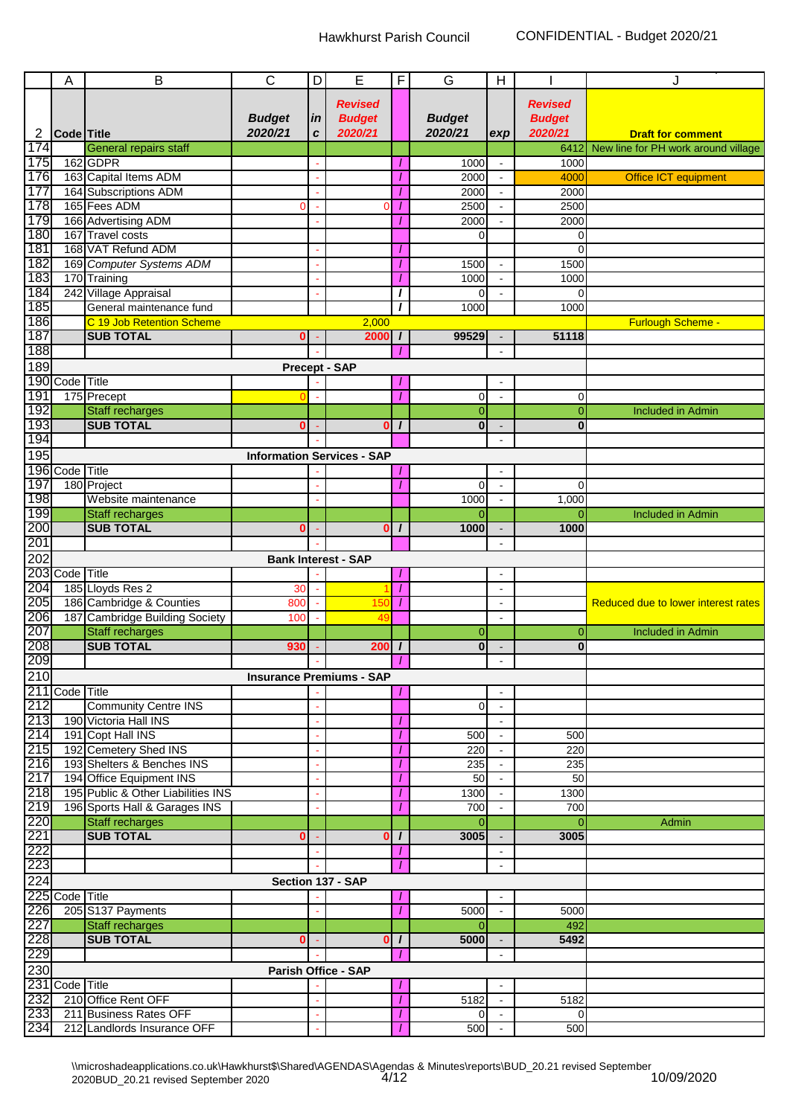|            | A                 | B                                                      | $\mathsf{C}$  | D  | Е                                 | F.            | G              | H                                |                | J                                   |
|------------|-------------------|--------------------------------------------------------|---------------|----|-----------------------------------|---------------|----------------|----------------------------------|----------------|-------------------------------------|
|            |                   |                                                        |               |    | Revised                           |               |                |                                  | <b>Revised</b> |                                     |
|            |                   |                                                        | <b>Budget</b> | in | <b>Budget</b>                     |               | <b>Budget</b>  |                                  | <b>Budget</b>  |                                     |
| 2          | <b>Code</b> Title |                                                        | 2020/21       | C  | 2020/21                           |               | 2020/21        | exp                              | 2020/21        | <b>Draft for comment</b>            |
| 174        |                   | General repairs staff                                  |               |    |                                   |               |                |                                  | 6412           | New line for PH work around village |
| 175        |                   | 162 GDPR                                               |               |    |                                   |               | 1000           | $\blacksquare$                   | 1000           |                                     |
| 176<br>177 |                   | 163 Capital Items ADM<br>164 Subscriptions ADM         |               |    |                                   |               | 2000<br>2000   | $\blacksquare$<br>$\blacksquare$ | 4000<br>2000   | Office ICT equipment                |
| 178        |                   | 165 Fees ADM                                           | ი             |    | $\Omega$                          |               | 2500           | $\mathbf{r}$                     | 2500           |                                     |
| 179        |                   | 166 Advertising ADM                                    |               |    |                                   |               | 2000           |                                  | 2000           |                                     |
| 180        |                   | 167 Travel costs                                       |               |    |                                   |               | $\Omega$       |                                  | 0              |                                     |
| 181        |                   | 168 VAT Refund ADM                                     |               |    |                                   |               |                |                                  | $\Omega$       |                                     |
| 182        |                   | 169 Computer Systems ADM                               |               |    |                                   |               | 1500           |                                  | 1500           |                                     |
| 183        |                   | 170 Training                                           |               |    |                                   |               | 1000           | $\blacksquare$                   | 1000           |                                     |
| 184        |                   | 242 Village Appraisal                                  |               |    |                                   | $\prime$      | 0              |                                  | $\Omega$       |                                     |
| 185        |                   | General maintenance fund                               |               |    |                                   | $\mathbf{I}$  | 1000           |                                  | 1000           |                                     |
| 186<br>187 |                   | C 19 Job Retention Scheme<br><b>SUB TOTAL</b>          | n             |    | 2,000<br>2000                     |               | 99529          |                                  | 51118          | <b>Furlough Scheme -</b>            |
| 188        |                   |                                                        |               |    |                                   | $\prime$      |                | $\blacksquare$                   |                |                                     |
| 189        |                   |                                                        |               |    | <b>Precept - SAP</b>              |               |                |                                  |                |                                     |
|            | 190 Code Title    |                                                        |               |    |                                   |               |                | $\blacksquare$                   |                |                                     |
| 191        |                   | 175 Precept                                            |               |    |                                   |               | 0              | $\blacksquare$                   | 0              |                                     |
| 192        |                   | <b>Staff recharges</b>                                 |               |    |                                   |               | $\overline{0}$ |                                  | $\overline{0}$ | <b>Included in Admin</b>            |
| 193        |                   | <b>SUB TOTAL</b>                                       | 0             |    | $\bf{0}$                          | $\prime$      | $\bf{0}$       | $\overline{\phantom{a}}$         | 0              |                                     |
| 194        |                   |                                                        |               |    |                                   |               |                | $\overline{a}$                   |                |                                     |
| 195        |                   |                                                        |               |    | <b>Information Services - SAP</b> |               |                |                                  |                |                                     |
|            | 196 Code Title    |                                                        |               |    |                                   |               |                | $\blacksquare$                   |                |                                     |
| 197        |                   | 180 Project                                            |               |    |                                   |               | $\Omega$       | $\bar{\phantom{a}}$              | 0              |                                     |
| 198        |                   | Website maintenance                                    |               |    |                                   |               | 1000           |                                  | 1,000          |                                     |
| 199        |                   | <b>Staff recharges</b>                                 |               |    |                                   |               | $\Omega$       |                                  | $\Omega$       | Included in Admin                   |
| 200        |                   | <b>SUB TOTAL</b>                                       | 0             |    | $\bf{0}$                          | $\prime$      | 1000           | $\overline{\phantom{a}}$         | 1000           |                                     |
| 201        |                   |                                                        |               |    |                                   |               |                | $\blacksquare$                   |                |                                     |
| 202        |                   |                                                        |               |    | <b>Bank Interest - SAP</b>        |               |                |                                  |                |                                     |
| 204        | 203 Code Title    | 185 Lloyds Res 2                                       |               |    |                                   |               |                | $\blacksquare$                   |                |                                     |
| 205        |                   | 186 Cambridge & Counties                               | 30<br>800     |    | 15 <sub>C</sub>                   |               |                | $\mathbf{r}$<br>$\blacksquare$   |                | Reduced due to lower interest rates |
| 206        |                   | 187 Cambridge Building Society                         | 100           |    | 4 <sup>°</sup>                    |               |                | $\blacksquare$                   |                |                                     |
| 207        |                   | Staff recharges                                        |               |    |                                   |               | 0              |                                  | $\mathbf{0}$   | Included in Admin                   |
| 208        |                   | <b>SUB TOTAL</b>                                       | 930           |    | 200                               | $\prime$      | $\bf{0}$       |                                  | $\bf{0}$       |                                     |
| 209        |                   |                                                        |               |    |                                   | $\mathcal{L}$ |                |                                  |                |                                     |
| 210        |                   |                                                        |               |    | <b>Insurance Premiums - SAP</b>   |               |                |                                  |                |                                     |
|            | 211 Code Title    |                                                        |               |    |                                   |               |                |                                  |                |                                     |
| 212        |                   | <b>Community Centre INS</b>                            |               |    |                                   |               | 0              | $\bar{\phantom{a}}$              |                |                                     |
| 213        |                   | 190 Victoria Hall INS                                  |               |    |                                   |               |                | $\blacksquare$                   |                |                                     |
| 214        |                   | 191 Copt Hall INS                                      |               |    |                                   |               | 500            | $\blacksquare$                   | 500            |                                     |
| 215        |                   | 192 Cemetery Shed INS                                  |               |    |                                   |               | 220            | $\blacksquare$                   | 220            |                                     |
| 216<br>217 |                   | 193 Shelters & Benches INS<br>194 Office Equipment INS |               |    |                                   |               | 235<br>50      | $\blacksquare$<br>$\blacksquare$ | 235<br>50      |                                     |
| 218        |                   | 195 Public & Other Liabilities INS                     |               |    |                                   |               | 1300           |                                  | 1300           |                                     |
| 219        |                   | 196 Sports Hall & Garages INS                          |               |    |                                   |               | 700            | $\blacksquare$                   | 700            |                                     |
| 220        |                   | Staff recharges                                        |               |    |                                   |               | $\overline{0}$ |                                  | $\Omega$       | Admin                               |
| 221        |                   | <b>SUB TOTAL</b>                                       | O             |    | $\bf{0}$                          | $\prime$      | 3005           |                                  | 3005           |                                     |
| 222        |                   |                                                        |               |    |                                   |               |                | $\mathbf{r}$                     |                |                                     |
| 223        |                   |                                                        |               |    |                                   |               |                |                                  |                |                                     |
| 224        |                   |                                                        |               |    | Section 137 - SAP                 |               |                |                                  |                |                                     |
|            | 225 Code Title    |                                                        |               |    |                                   |               |                |                                  |                |                                     |
| 226        |                   | 205 S137 Payments                                      |               |    |                                   |               | 5000           | $\blacksquare$                   | 5000           |                                     |
| 227        |                   | Staff recharges                                        |               |    |                                   |               | 0              |                                  | 492            |                                     |
| 228        |                   | <b>SUB TOTAL</b>                                       | 0             |    | $\bf{0}$                          | $\prime$      | 5000           |                                  | 5492           |                                     |
| 229        |                   |                                                        |               |    |                                   |               |                |                                  |                |                                     |
| 230        |                   |                                                        |               |    | Parish Office - SAP               |               |                |                                  |                |                                     |
|            | 231 Code Title    |                                                        |               |    |                                   | 1             |                | $\blacksquare$                   |                |                                     |
| 232<br>233 |                   | 210 Office Rent OFF<br>211 Business Rates OFF          |               |    |                                   |               | 5182<br>0      | $\blacksquare$<br>$\blacksquare$ | 5182<br>0      |                                     |
| 234        |                   | 212 Landlords Insurance OFF                            |               | ٠  |                                   |               | 500            | $\blacksquare$                   | 500            |                                     |
|            |                   |                                                        |               |    |                                   |               |                |                                  |                |                                     |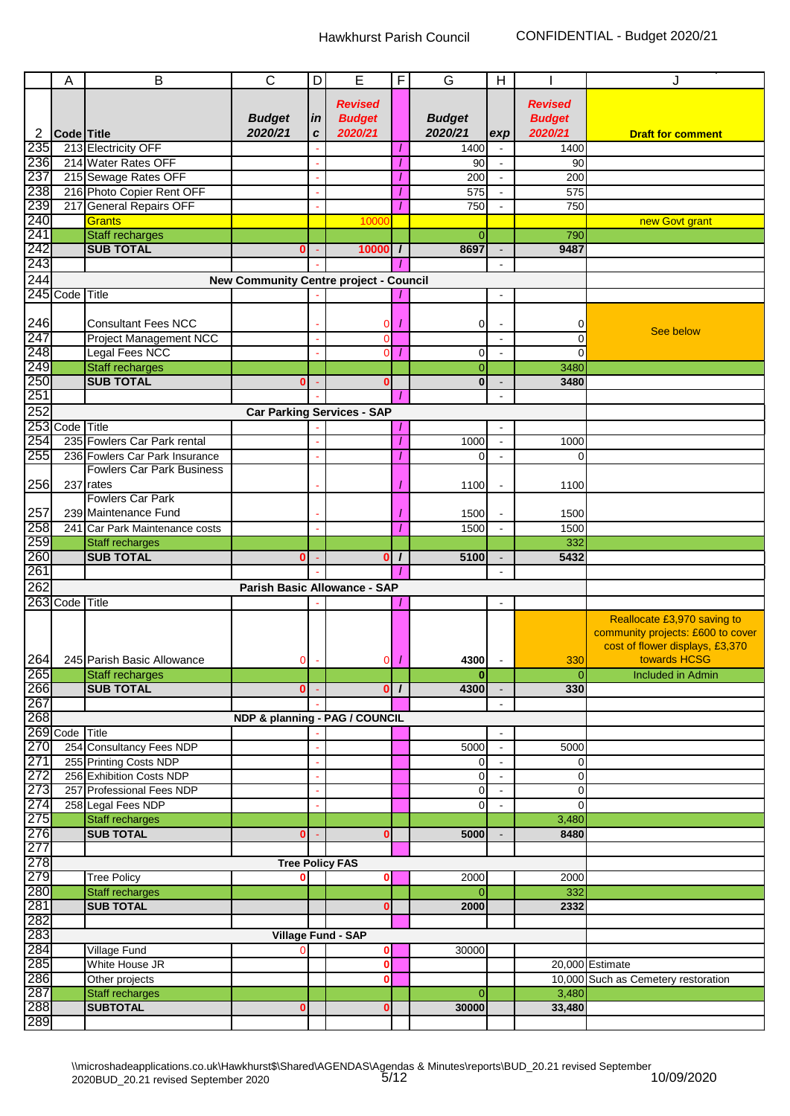|            | A                 | в                                                  | C                                             | D  | Ε                                 | F.           | G                                | H              |                                 | J                                                                |
|------------|-------------------|----------------------------------------------------|-----------------------------------------------|----|-----------------------------------|--------------|----------------------------------|----------------|---------------------------------|------------------------------------------------------------------|
|            |                   |                                                    |                                               |    |                                   |              |                                  |                |                                 |                                                                  |
|            |                   |                                                    | <b>Budget</b>                                 | in | <b>Revised</b><br><b>Budget</b>   |              | <b>Budget</b>                    |                | <b>Revised</b><br><b>Budget</b> |                                                                  |
| 2          | <b>Code Title</b> |                                                    | 2020/21                                       | C  | 2020/21                           |              | 2020/21                          | exp            | 2020/21                         | <b>Draft for comment</b>                                         |
| 235        |                   | 213 Electricity OFF                                |                                               |    |                                   |              | 1400                             | $\blacksquare$ | 1400                            |                                                                  |
| 236        |                   | 214 Water Rates OFF                                |                                               |    |                                   |              | 90 <sup>°</sup>                  | $\blacksquare$ | 90                              |                                                                  |
| 237        |                   | 215 Sewage Rates OFF                               |                                               |    |                                   |              | 200                              |                | 200                             |                                                                  |
| 238        |                   | 216 Photo Copier Rent OFF                          |                                               |    |                                   |              | 575                              | $\blacksquare$ | 575                             |                                                                  |
| 239        |                   | 217 General Repairs OFF                            |                                               |    |                                   |              | 750                              |                | 750                             |                                                                  |
| 240        |                   | <b>Grants</b>                                      |                                               |    | 1000                              |              |                                  |                |                                 | new Govt grant                                                   |
| 241        |                   | Staff recharges                                    |                                               |    |                                   |              | $\Omega$                         |                | 790                             |                                                                  |
| 242        |                   | <b>SUB TOTAL</b>                                   | 0                                             |    | 10000                             | $\prime$     | 8697                             |                | 9487                            |                                                                  |
| 243        |                   |                                                    |                                               |    |                                   |              |                                  |                |                                 |                                                                  |
| 244        |                   |                                                    | <b>New Community Centre project - Council</b> |    |                                   |              |                                  |                |                                 |                                                                  |
|            | 245 Code Title    |                                                    |                                               |    |                                   |              |                                  |                |                                 |                                                                  |
|            |                   |                                                    |                                               |    |                                   |              |                                  |                |                                 |                                                                  |
| 246<br>247 |                   | <b>Consultant Fees NCC</b>                         |                                               |    | 0                                 |              | 0                                |                | 0                               | See below                                                        |
| 248        |                   | Project Management NCC<br>Legal Fees NCC           |                                               |    | $\mathbf 0$<br>$\Omega$           |              | $\overline{0}$                   | $\blacksquare$ | $\Omega$                        |                                                                  |
| 249        |                   | Staff recharges                                    |                                               |    |                                   |              | $\overline{0}$                   | $\blacksquare$ | 3480                            |                                                                  |
| 250        |                   | <b>SUB TOTAL</b>                                   |                                               |    | $\bf{0}$                          |              | $\bf{0}$                         |                | 3480                            |                                                                  |
| 251        |                   |                                                    |                                               |    |                                   |              |                                  |                |                                 |                                                                  |
| 252        |                   |                                                    |                                               |    | <b>Car Parking Services - SAP</b> |              |                                  |                |                                 |                                                                  |
|            | 253 Code Title    |                                                    |                                               |    |                                   |              |                                  |                |                                 |                                                                  |
| 254        |                   | 235 Fowlers Car Park rental                        |                                               |    |                                   |              | 1000                             | $\blacksquare$ | 1000                            |                                                                  |
| 255        |                   | 236 Fowlers Car Park Insurance                     |                                               |    |                                   |              | $\Omega$                         | $\blacksquare$ | $\Omega$                        |                                                                  |
|            |                   | <b>Fowlers Car Park Business</b>                   |                                               |    |                                   |              |                                  |                |                                 |                                                                  |
| 256        |                   | 237 rates                                          |                                               |    |                                   |              | 1100                             |                | 1100                            |                                                                  |
|            |                   | <b>Fowlers Car Park</b>                            |                                               |    |                                   |              |                                  |                |                                 |                                                                  |
| 257        |                   | 239 Maintenance Fund                               |                                               |    |                                   |              | 1500                             |                | 1500                            |                                                                  |
| 258        |                   | 241 Car Park Maintenance costs                     |                                               |    |                                   |              | 1500                             | $\blacksquare$ | 1500                            |                                                                  |
| 259        |                   | Staff recharges                                    |                                               |    |                                   |              |                                  |                | 332                             |                                                                  |
| 260<br>261 |                   | <b>SUB TOTAL</b>                                   |                                               |    | $\bf{0}$                          | $\prime$     | 5100                             | $\blacksquare$ | 5432                            |                                                                  |
| 262        |                   |                                                    |                                               |    |                                   |              |                                  | $\blacksquare$ |                                 |                                                                  |
|            | 263 Code Title    |                                                    | Parish Basic Allowance - SAP                  |    |                                   |              |                                  | $\blacksquare$ |                                 |                                                                  |
|            |                   |                                                    |                                               |    |                                   |              |                                  |                |                                 |                                                                  |
|            |                   |                                                    |                                               |    |                                   |              |                                  |                |                                 | Reallocate £3,970 saving to<br>community projects: £600 to cover |
|            |                   |                                                    |                                               |    |                                   |              |                                  |                |                                 | cost of flower displays, £3,370                                  |
|            |                   | 264 245 Parish Basic Allowance                     | U                                             |    | U.                                | -1           | 4300                             |                | 330                             | <b>Example 20 towards HCSG</b>                                   |
| 265        |                   | Staff recharges                                    |                                               |    |                                   |              | $\bf{0}$                         |                | $\overline{0}$                  | Included in Admin                                                |
| 266        |                   | <b>SUB TOTAL</b>                                   | 0                                             |    | $\mathbf{0}$                      | $\mathbf{I}$ | 4300                             |                | 330                             |                                                                  |
| 267        |                   |                                                    |                                               |    |                                   |              |                                  | $\blacksquare$ |                                 |                                                                  |
| 268        |                   |                                                    | NDP & planning - PAG / COUNCIL                |    |                                   |              |                                  |                |                                 |                                                                  |
|            | 269 Code          | Title                                              |                                               |    |                                   |              |                                  | $\blacksquare$ |                                 |                                                                  |
| 270<br>271 |                   | 254 Consultancy Fees NDP                           |                                               |    |                                   |              | 5000                             |                | 5000                            |                                                                  |
| 272        |                   | 255 Printing Costs NDP<br>256 Exhibition Costs NDP |                                               |    |                                   |              | $\overline{0}$<br>$\overline{0}$ | $\blacksquare$ | 0<br>0                          |                                                                  |
| 273        |                   | 257 Professional Fees NDP                          |                                               |    |                                   |              | $\overline{0}$                   | $\blacksquare$ | 0                               |                                                                  |
| 274        |                   | 258 Legal Fees NDP                                 |                                               |    |                                   |              | $\overline{0}$                   |                | $\overline{0}$                  |                                                                  |
| 275        |                   | Staff recharges                                    |                                               |    |                                   |              |                                  |                | 3,480                           |                                                                  |
| 276        |                   | <b>SUB TOTAL</b>                                   | 0                                             |    | $\bf{0}$                          |              | 5000                             |                | 8480                            |                                                                  |
| 277        |                   |                                                    |                                               |    |                                   |              |                                  |                |                                 |                                                                  |
| 278        |                   |                                                    |                                               |    | <b>Tree Policy FAS</b>            |              |                                  |                |                                 |                                                                  |
| 279        |                   | <b>Tree Policy</b>                                 |                                               |    | $\mathbf 0$                       |              | 2000                             |                | 2000                            |                                                                  |
| 280        |                   | Staff recharges                                    |                                               |    |                                   |              | $\overline{0}$                   |                | 332                             |                                                                  |
| 281        |                   | <b>SUB TOTAL</b>                                   |                                               |    | $\bf{0}$                          |              | 2000                             |                | 2332                            |                                                                  |
| 282        |                   |                                                    |                                               |    |                                   |              |                                  |                |                                 |                                                                  |
| 283        |                   |                                                    |                                               |    | Village Fund - SAP                |              |                                  |                |                                 |                                                                  |
| 284        |                   | <b>Village Fund</b>                                |                                               |    | $\mathbf 0$                       |              | 30000                            |                |                                 |                                                                  |
| 285        |                   | White House JR                                     |                                               |    | $\mathbf 0$                       |              |                                  |                |                                 | 20,000 Estimate                                                  |
| 286<br>287 |                   | Other projects<br><b>Staff recharges</b>           |                                               |    | $\mathbf 0$                       |              | $\overline{0}$                   |                | 3,480                           | 10,000 Such as Cemetery restoration                              |
| 288        |                   | <b>SUBTOTAL</b>                                    | $\bf{0}$                                      |    | $\mathbf{0}$                      |              | 30000                            |                | 33,480                          |                                                                  |
| 289        |                   |                                                    |                                               |    |                                   |              |                                  |                |                                 |                                                                  |
|            |                   |                                                    |                                               |    |                                   |              |                                  |                |                                 |                                                                  |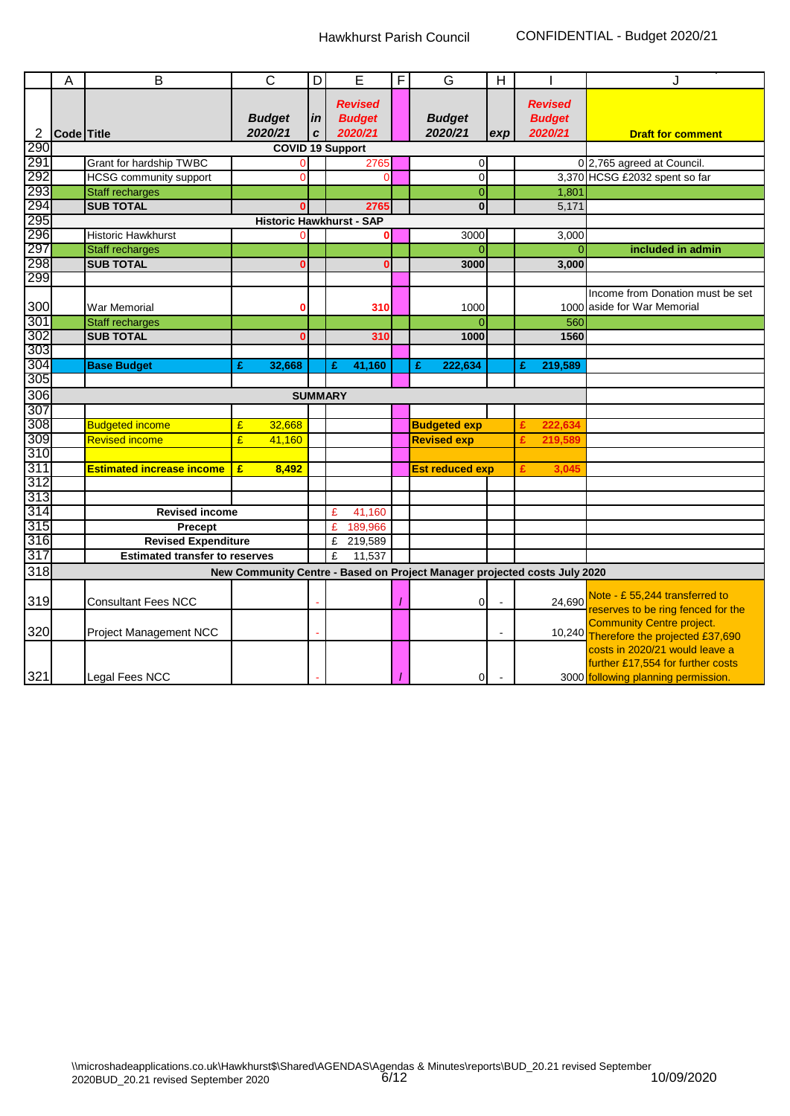|                  | A                       | B                                     | $\overline{C}$           | D       | E                                          | F | G                                                                         | H   |                                            | J                                                                                                          |
|------------------|-------------------------|---------------------------------------|--------------------------|---------|--------------------------------------------|---|---------------------------------------------------------------------------|-----|--------------------------------------------|------------------------------------------------------------------------------------------------------------|
| $\overline{2}$   | Code Title              |                                       | <b>Budget</b><br>2020/21 | in<br>C | <b>Revised</b><br><b>Budget</b><br>2020/21 |   | <b>Budget</b><br>2020/21                                                  | exp | <b>Revised</b><br><b>Budget</b><br>2020/21 | <b>Draft for comment</b>                                                                                   |
| 290              | <b>COVID 19 Support</b> |                                       |                          |         |                                            |   |                                                                           |     |                                            |                                                                                                            |
| 291              |                         | Grant for hardship TWBC               | n                        |         | 2765                                       |   | $\overline{0}$                                                            |     |                                            | 0 2,765 agreed at Council.                                                                                 |
| 292              |                         | <b>HCSG</b> community support         | $\Omega$                 |         | $\Omega$                                   |   | $\overline{0}$                                                            |     |                                            | 3,370 HCSG £2032 spent so far                                                                              |
| 293              |                         | Staff recharges                       |                          |         |                                            |   | $\overline{0}$                                                            |     | 1,801                                      |                                                                                                            |
| 294              |                         | <b>SUB TOTAL</b>                      |                          |         | 2765                                       |   | $\mathbf{0}$                                                              |     | 5,171                                      |                                                                                                            |
| 295              |                         |                                       |                          |         | <b>Historic Hawkhurst - SAP</b>            |   |                                                                           |     |                                            |                                                                                                            |
| 296              |                         | <b>Historic Hawkhurst</b>             |                          |         | $\bf{0}$                                   |   | 3000                                                                      |     | 3,000                                      |                                                                                                            |
| 297              |                         | Staff recharges                       |                          |         |                                            |   | $\overline{0}$                                                            |     | $\Omega$                                   | included in admin                                                                                          |
| 298              |                         | <b>SUB TOTAL</b>                      | 0                        |         | $\bf{0}$                                   |   | 3000                                                                      |     | 3,000                                      |                                                                                                            |
| 299              |                         |                                       |                          |         |                                            |   |                                                                           |     |                                            |                                                                                                            |
| 300              |                         | <b>War Memorial</b>                   | 0                        |         | 310                                        |   | 1000                                                                      |     |                                            | Income from Donation must be set<br>1000 aside for War Memorial                                            |
| 301              |                         | Staff recharges                       |                          |         |                                            |   | $\Omega$                                                                  |     | 560                                        |                                                                                                            |
| 302              |                         | <b>SUB TOTAL</b>                      | 0                        |         | 310                                        |   | 1000                                                                      |     | 1560                                       |                                                                                                            |
| 303              |                         |                                       |                          |         |                                            |   |                                                                           |     |                                            |                                                                                                            |
| 304              |                         | <b>Base Budget</b>                    | £<br>32,668              |         | £<br>41,160                                |   | £<br>222,634                                                              |     | 219,589<br>£                               |                                                                                                            |
| 305              |                         |                                       |                          |         |                                            |   |                                                                           |     |                                            |                                                                                                            |
| 306              |                         |                                       |                          |         | <b>SUMMARY</b>                             |   |                                                                           |     |                                            |                                                                                                            |
| 307              |                         |                                       |                          |         |                                            |   |                                                                           |     |                                            |                                                                                                            |
| 308              |                         | <b>Budgeted income</b>                | £<br>32,668              |         |                                            |   | <b>Budgeted exp</b>                                                       |     | £<br>222,634                               |                                                                                                            |
| 309              |                         | <b>Revised income</b>                 | £<br>41,160              |         |                                            |   | <b>Revised exp</b>                                                        |     | 219,589<br>£                               |                                                                                                            |
| 310              |                         |                                       |                          |         |                                            |   |                                                                           |     |                                            |                                                                                                            |
| 311              |                         | <b>Estimated increase income</b>      | £<br>8,492               |         |                                            |   | Est reduced exp                                                           |     | £<br>3.045                                 |                                                                                                            |
| 312              |                         |                                       |                          |         |                                            |   |                                                                           |     |                                            |                                                                                                            |
| 313              |                         |                                       |                          |         |                                            |   |                                                                           |     |                                            |                                                                                                            |
| 314              |                         | <b>Revised income</b>                 |                          |         | £<br>41,160                                |   |                                                                           |     |                                            |                                                                                                            |
| 315              |                         | Precept                               |                          |         | £<br>189,966                               |   |                                                                           |     |                                            |                                                                                                            |
| 316              |                         | <b>Revised Expenditure</b>            |                          |         | £<br>219,589                               |   |                                                                           |     |                                            |                                                                                                            |
| 317              |                         | <b>Estimated transfer to reserves</b> |                          |         | £<br>11,537                                |   |                                                                           |     |                                            |                                                                                                            |
| $\overline{318}$ |                         |                                       |                          |         |                                            |   | New Community Centre - Based on Project Manager projected costs July 2020 |     |                                            |                                                                                                            |
|                  |                         |                                       |                          |         |                                            |   |                                                                           |     |                                            |                                                                                                            |
| 319              |                         | <b>Consultant Fees NCC</b>            |                          |         |                                            |   | 0                                                                         |     |                                            | 24,690 Note - £ 55,244 transferred to<br>reserves to be ring fenced for the                                |
| 320              |                         | Project Management NCC                |                          |         |                                            |   |                                                                           |     |                                            | <b>Community Centre project.</b><br>10,240 Therefore the projected £37,690                                 |
| 321              |                         | Legal Fees NCC                        |                          |         |                                            |   | 0                                                                         |     |                                            | costs in 2020/21 would leave a<br>further £17,554 for further costs<br>3000 following planning permission. |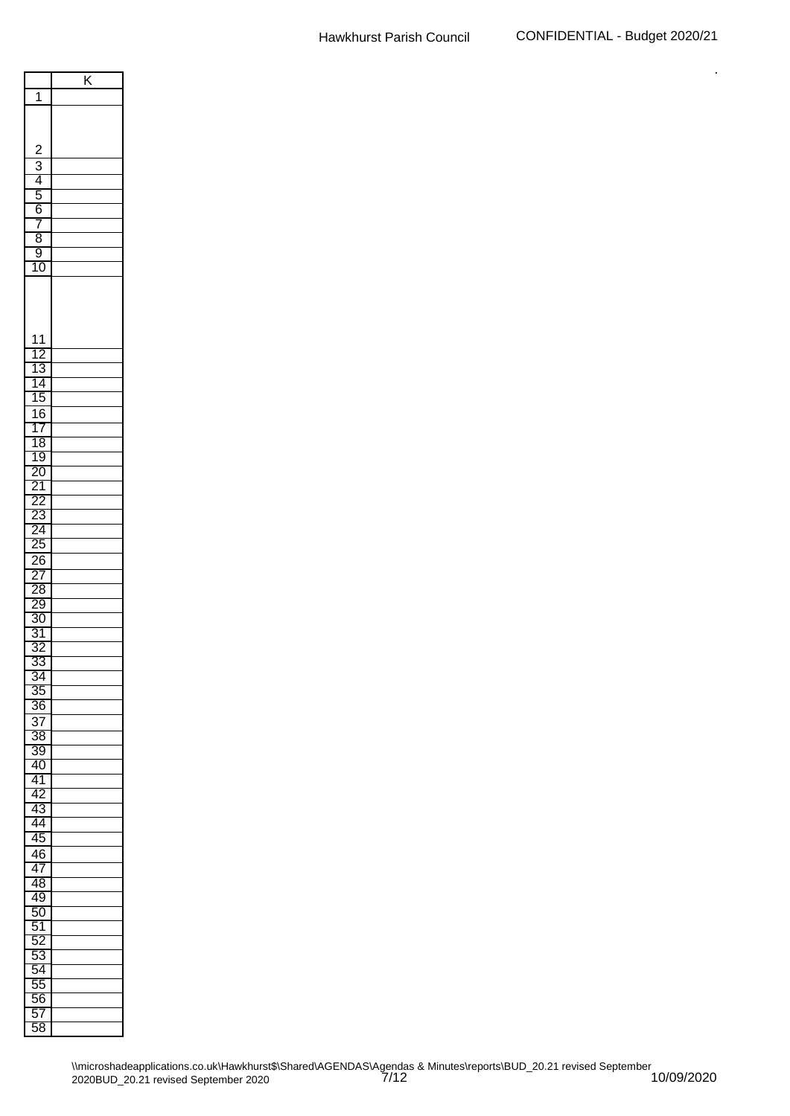|                                              | Κ |
|----------------------------------------------|---|
| .<br>1                                       |   |
|                                              |   |
|                                              |   |
|                                              |   |
|                                              |   |
|                                              |   |
| $\frac{3}{4}$ $\frac{4}{5}$ $\frac{6}{8}$    |   |
|                                              |   |
|                                              |   |
|                                              |   |
|                                              |   |
|                                              |   |
|                                              |   |
| $\frac{9}{10}$                               |   |
|                                              |   |
|                                              |   |
|                                              |   |
|                                              |   |
|                                              |   |
|                                              |   |
| 1 <sub>1</sub>                               |   |
| $\frac{12}{13}$                              |   |
|                                              |   |
|                                              |   |
| $\overline{15}$                              |   |
| 16                                           |   |
|                                              |   |
| $\overline{17}$                              |   |
|                                              |   |
| 18<br>19<br>20<br>21<br>22<br>23<br>24<br>25 |   |
|                                              |   |
|                                              |   |
|                                              |   |
|                                              |   |
|                                              |   |
|                                              |   |
|                                              |   |
| 26                                           |   |
|                                              |   |
| 27<br>28<br>29<br>30                         |   |
|                                              |   |
|                                              |   |
|                                              |   |
| $\frac{1}{31}$<br>$\frac{32}{33}$            |   |
|                                              |   |
|                                              |   |
|                                              |   |
| 34                                           |   |
| 35                                           |   |
| $\overline{36}$                              |   |
| 37                                           |   |
| $\overline{\mathrm{38}}$                     |   |
|                                              |   |
| 39                                           |   |
| 40                                           |   |
| 41                                           |   |
| 42                                           |   |
| 43                                           |   |
| 44                                           |   |
| 45                                           |   |
|                                              |   |
| 46                                           |   |
| 47                                           |   |
| 48                                           |   |
| 49                                           |   |
| 50                                           |   |
|                                              |   |
| 51                                           |   |
| 52                                           |   |
| 53                                           |   |
| 54                                           |   |
| 55                                           |   |
|                                              |   |
| 56                                           |   |
| 57<br>ļ                                      |   |
| 58                                           |   |
|                                              |   |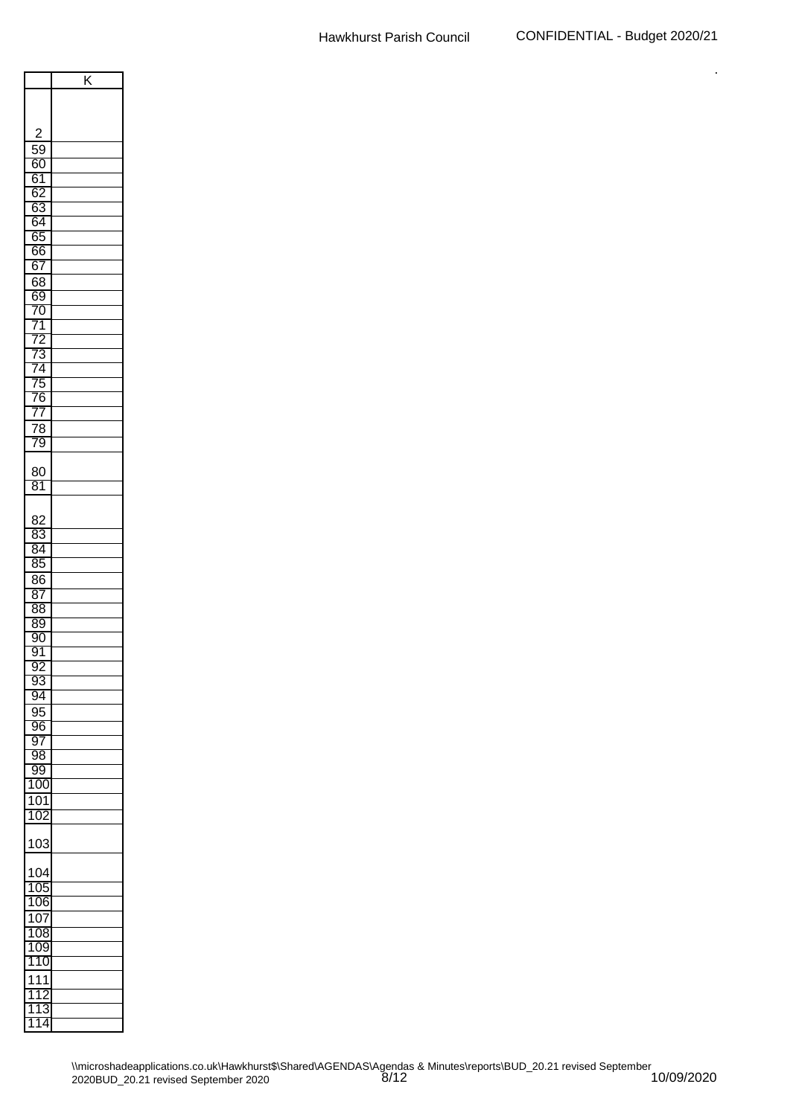| Hawkhurst Parish Council |  |
|--------------------------|--|
|                          |  |

|                                                       | κ |
|-------------------------------------------------------|---|
|                                                       |   |
|                                                       |   |
|                                                       |   |
|                                                       |   |
| 59                                                    |   |
| $\frac{60}{61}$<br>$\frac{62}{63}$<br>$\frac{64}{64}$ |   |
|                                                       |   |
|                                                       |   |
|                                                       |   |
|                                                       |   |
|                                                       |   |
| $\frac{65}{66}$                                       |   |
|                                                       |   |
| $\frac{67}{68}$                                       |   |
|                                                       |   |
| 69                                                    |   |
| 70                                                    |   |
| 71                                                    |   |
|                                                       |   |
| $\overline{72}$                                       |   |
| 73                                                    |   |
| 74                                                    |   |
| 75                                                    |   |
| 76                                                    |   |
| 77                                                    |   |
| 78                                                    |   |
|                                                       |   |
| 79                                                    |   |
|                                                       |   |
| 80                                                    |   |
| 81                                                    |   |
|                                                       |   |
| 82                                                    |   |
|                                                       |   |
| $\overline{83}$                                       |   |
| 84                                                    |   |
| $\overline{85}$                                       |   |
| 86                                                    |   |
| $\overline{87}$                                       |   |
| 88                                                    |   |
| 89                                                    |   |
|                                                       |   |
| 90                                                    |   |
| 91                                                    |   |
| 92                                                    |   |
| 93                                                    |   |
| 94                                                    |   |
| 95                                                    |   |
| 96                                                    |   |
|                                                       |   |
| 97                                                    |   |
| 98                                                    |   |
| 99                                                    |   |
| 100                                                   |   |
| $\overline{10}1$                                      |   |
| 102                                                   |   |
|                                                       |   |
| 103                                                   |   |
|                                                       |   |
|                                                       |   |
| 104                                                   |   |
| 105                                                   |   |
| 106                                                   |   |
| 107                                                   |   |
| 108<br>3                                              |   |
| 109                                                   |   |
|                                                       |   |
| 110                                                   |   |
| 111                                                   |   |
| 112                                                   |   |
| 113                                                   |   |
| $\overline{\mathbf{1}}$<br>4                          |   |
| 1                                                     |   |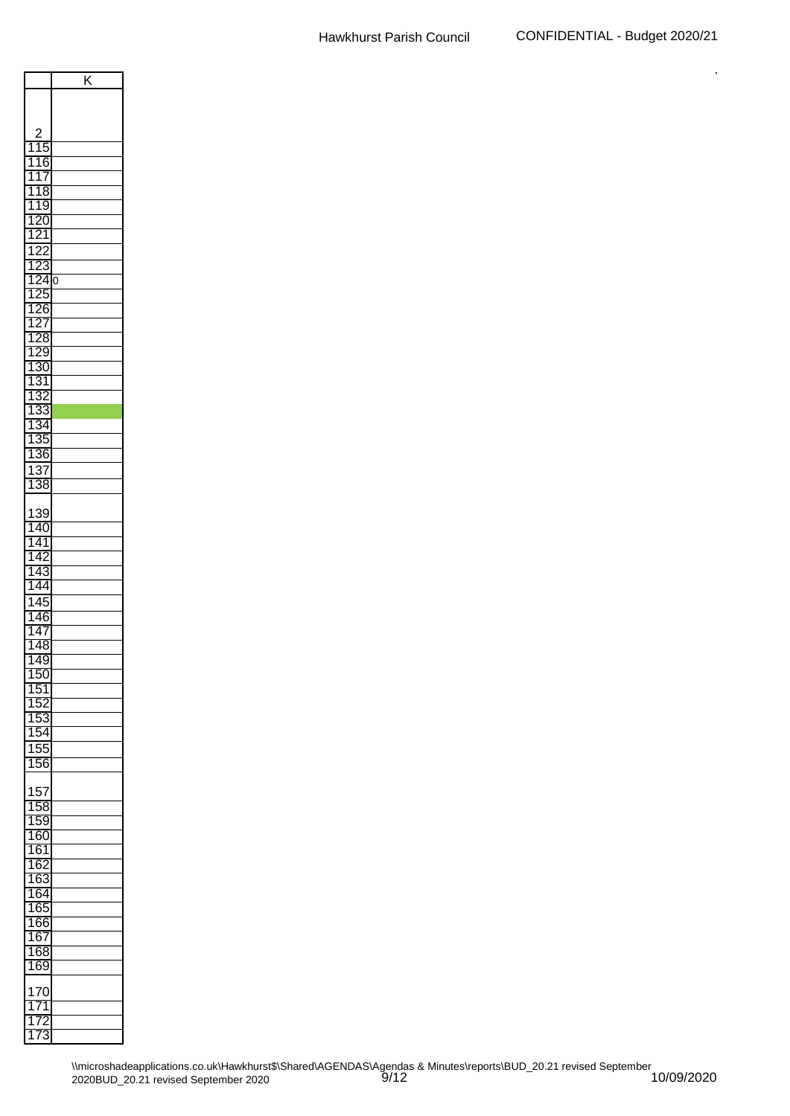| Hawkhurst Parish Council |  |
|--------------------------|--|
|                          |  |

|   |                                                             | Κ |
|---|-------------------------------------------------------------|---|
|   |                                                             |   |
|   |                                                             |   |
|   |                                                             |   |
|   | $\frac{2}{15}$<br>$\frac{16}{16}$                           |   |
| 1 |                                                             |   |
| 1 |                                                             |   |
|   | $\frac{117}{118}$                                           |   |
|   |                                                             |   |
|   | 119                                                         |   |
|   |                                                             |   |
|   |                                                             |   |
|   |                                                             |   |
|   | $\frac{120}{121}$ $\frac{123}{123}$ $\frac{124}{125}$       |   |
|   |                                                             |   |
|   |                                                             | 0 |
|   |                                                             |   |
|   | $\frac{126}{1}$                                             |   |
|   |                                                             |   |
|   |                                                             |   |
|   | 127<br>128<br>129<br>130<br>131                             |   |
|   |                                                             |   |
|   |                                                             |   |
|   |                                                             |   |
|   | <u>132</u>                                                  |   |
|   |                                                             |   |
|   |                                                             |   |
|   |                                                             |   |
|   | $\frac{133}{134}$<br>$\frac{134}{135}$<br>$\frac{135}{136}$ |   |
|   | 137<br>138                                                  |   |
|   |                                                             |   |
|   |                                                             |   |
|   | 139                                                         |   |
|   |                                                             |   |
|   | 140                                                         |   |
|   | 141                                                         |   |
|   | 142                                                         |   |
|   | <u> 143</u>                                                 |   |
|   | 144                                                         |   |
|   | $\frac{145}{146}$                                           |   |
|   |                                                             |   |
|   |                                                             |   |
|   | 147<br>148                                                  |   |
|   | 149                                                         |   |
|   |                                                             |   |
|   | 150<br>151                                                  |   |
|   |                                                             |   |
|   | 152                                                         |   |
|   | 153                                                         |   |
|   | 154                                                         |   |
|   | 155                                                         |   |
|   | 156                                                         |   |
|   |                                                             |   |
|   | 157                                                         |   |
|   | 158                                                         |   |
|   |                                                             |   |
|   | 159                                                         |   |
|   | 160                                                         |   |
|   | 161                                                         |   |
|   | 162                                                         |   |
|   | 163                                                         |   |
|   | 164                                                         |   |
|   | 165                                                         |   |
|   | 166                                                         |   |
|   | 167                                                         |   |
|   | 168                                                         |   |
|   | 169                                                         |   |
|   |                                                             |   |
|   |                                                             |   |
|   | 170                                                         |   |
|   | 171                                                         |   |
|   | 172<br>173                                                  |   |
|   |                                                             |   |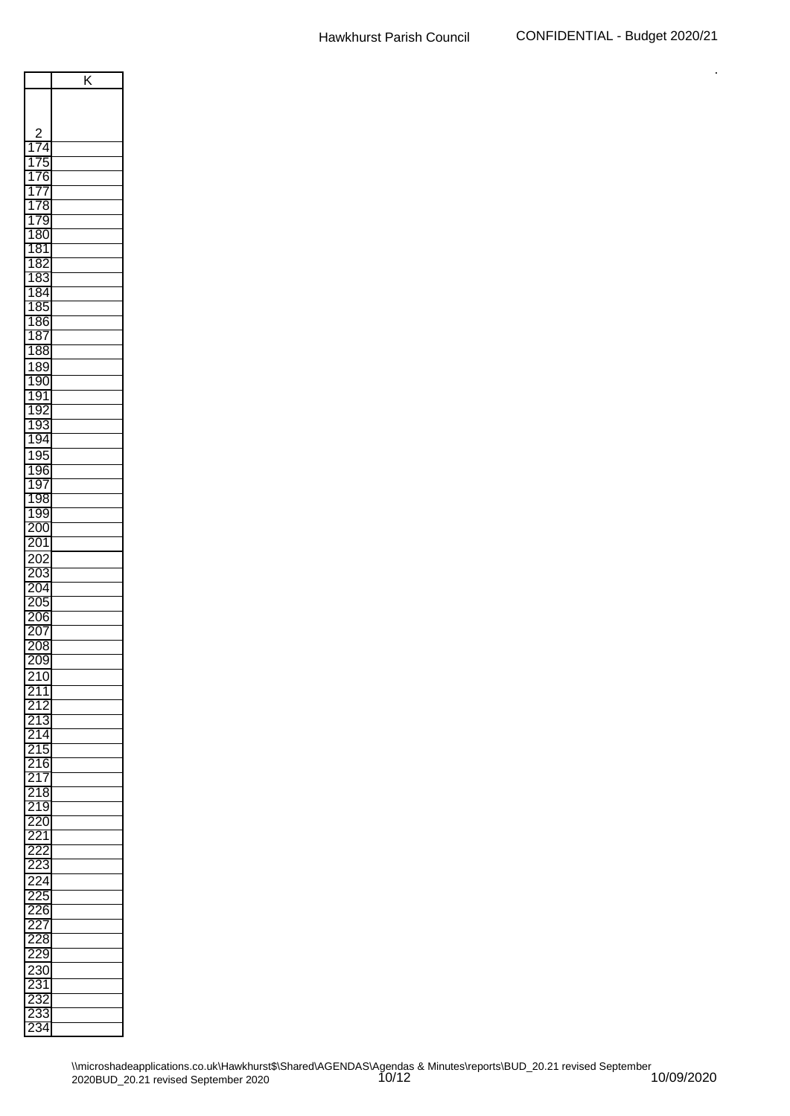| Hawkhurst Parish Council |  |
|--------------------------|--|
|                          |  |

|                                | Κ |
|--------------------------------|---|
|                                |   |
|                                |   |
|                                |   |
| 74<br>1                        |   |
| 175                            |   |
| $\overline{1}$<br>76           |   |
| 177                            |   |
| 178                            |   |
| 179                            |   |
| 180                            |   |
| 181                            |   |
| 1<br>$\overline{82}$           |   |
| 183                            |   |
| 184                            |   |
| 185                            |   |
| 186                            |   |
| 187                            |   |
| 188                            |   |
| 189                            |   |
| 190                            |   |
| 191                            |   |
| 192<br>193                     |   |
|                                |   |
| 194                            |   |
| 195                            |   |
| 196                            |   |
| 197                            |   |
| 198                            |   |
| 199                            |   |
| 200                            |   |
| 201                            |   |
| 202                            |   |
| 203                            |   |
| 204                            |   |
| 205                            |   |
| 206                            |   |
| 207                            |   |
| 208                            |   |
| 209                            |   |
| (                              |   |
|                                |   |
|                                |   |
| 5                              |   |
| 4                              |   |
| ξ<br>,<br>1<br>)               |   |
| 6                              |   |
| Í                              |   |
| ξ<br>3<br>1                    |   |
| i<br><u>?</u> 1<br>J<br>0<br>Ž |   |
| ,<br>1                         |   |
|                                |   |
| S                              |   |
|                                |   |
| ļ                              |   |
| נ<br>26                        |   |
|                                |   |
| I<br>å<br>S                    |   |
| J                              |   |
|                                |   |
|                                |   |
|                                |   |
|                                |   |
|                                |   |
|                                |   |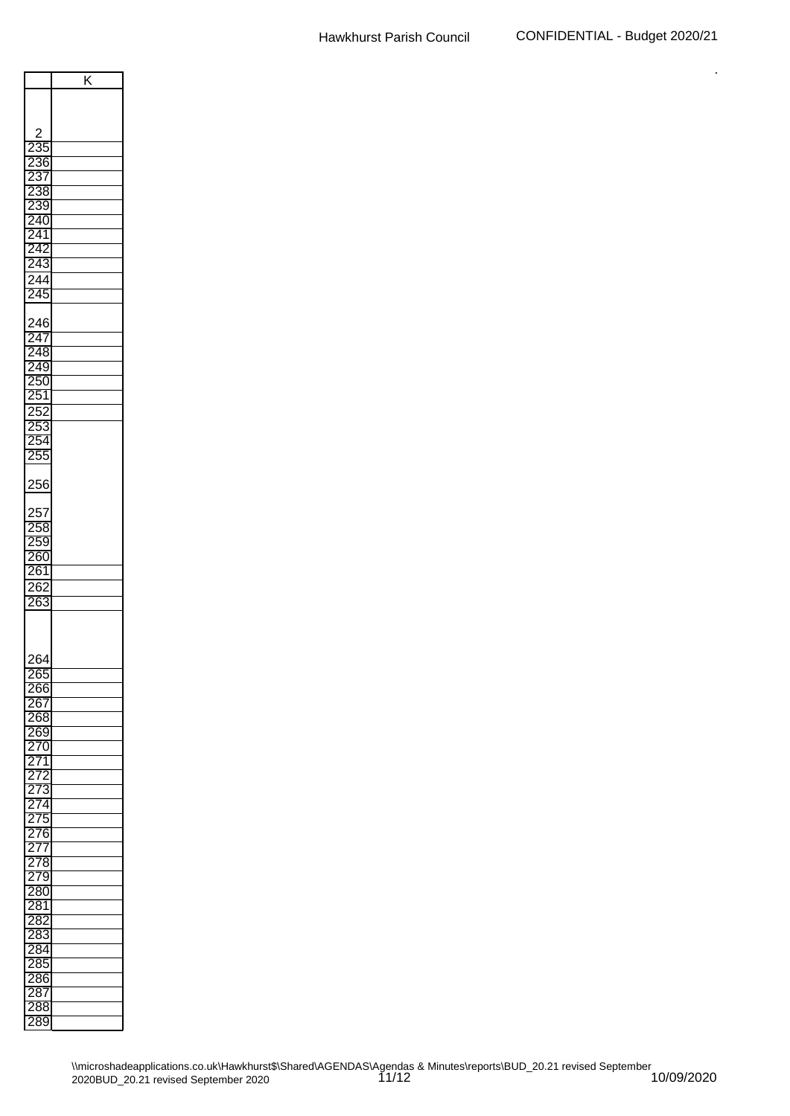|                                 | Κ |  |
|---------------------------------|---|--|
|                                 |   |  |
|                                 |   |  |
|                                 |   |  |
| 235                             |   |  |
| $\overline{36}$                 |   |  |
| $\overline{37}$                 |   |  |
| $\overline{3}$<br>3             |   |  |
| 239                             |   |  |
| 240                             |   |  |
| 241                             |   |  |
| 242                             |   |  |
| 243                             |   |  |
| 244                             |   |  |
| 245                             |   |  |
|                                 |   |  |
| 246                             |   |  |
| 247                             |   |  |
| 248<br>3                        |   |  |
| 249                             |   |  |
| 250                             |   |  |
| $\overline{251}$                |   |  |
| 252                             |   |  |
| 253                             |   |  |
| 254                             |   |  |
| 255                             |   |  |
|                                 |   |  |
| 256                             |   |  |
|                                 |   |  |
| 257                             |   |  |
| 258                             |   |  |
| 259                             |   |  |
| 260                             |   |  |
| 261                             |   |  |
|                                 |   |  |
| 262<br>263                      |   |  |
|                                 |   |  |
|                                 |   |  |
|                                 |   |  |
| 264                             |   |  |
| 265<br>C                        |   |  |
| 266                             |   |  |
| 26<br>Š                         |   |  |
| ſ<br>$\overline{\delta}$<br>26  |   |  |
| $\overline{26}$<br>39           |   |  |
| 2<br>70                         |   |  |
| $\overline{271}$                |   |  |
| 72<br>2                         |   |  |
| 73<br>2                         |   |  |
| 74<br>2                         |   |  |
| 75<br><sup>)</sup>              |   |  |
| 76<br>,                         |   |  |
| $\overline{77}$                 |   |  |
| $\overline{2}$<br>78            |   |  |
| 279                             |   |  |
| 280                             |   |  |
| 281                             |   |  |
| 32<br>٤                         |   |  |
| 33<br>28                        |   |  |
| 28<br>34                        |   |  |
| 28<br>35                        |   |  |
| 28<br>36                        |   |  |
| ξ<br>$\overline{\overline{37}}$ |   |  |
| $\overline{\mathbf{r}}$<br>38   |   |  |
| 289<br>J                        |   |  |
|                                 |   |  |